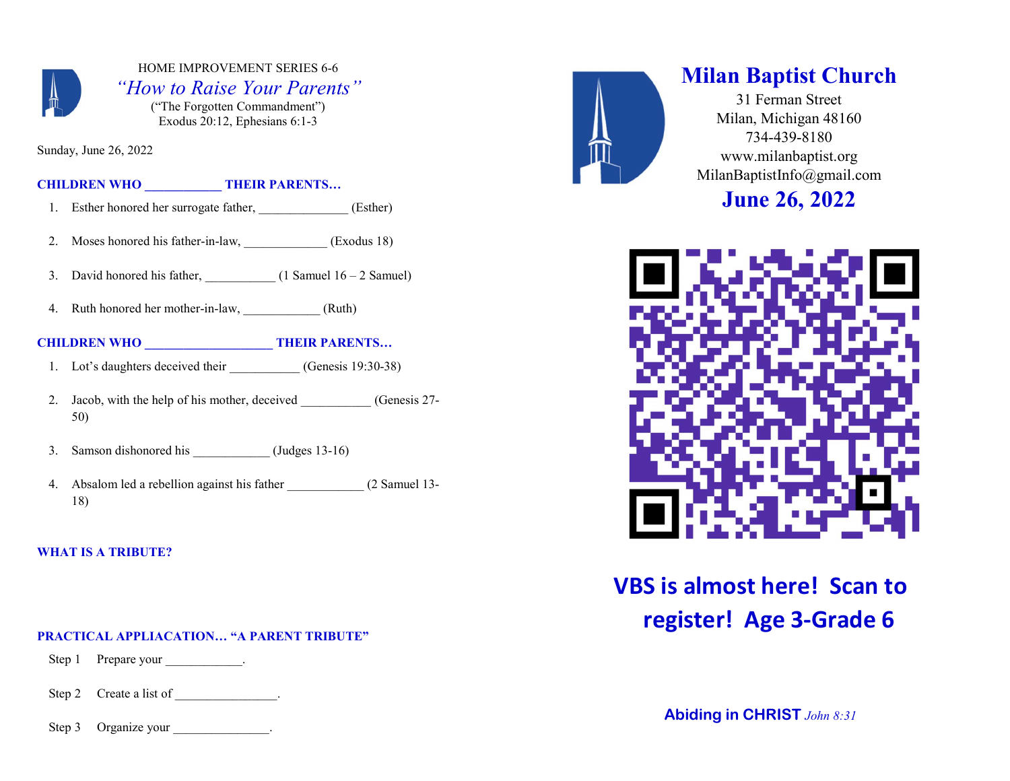

# HOME IMPROVEMENT SERIES 6-6 "How to Raise Your Parents"

("The Forgotten Commandment") Exodus 20:12, Ephesians 6:1-3

Sunday, June 26, 2022

CHILDREN WHO **THEIR PARENTS...** 

- 1. Esther honored her surrogate father, *\_\_\_\_\_\_\_\_\_\_\_\_\_* (Esther)
- 2. Moses honored his father-in-law, (Exodus 18)
- 3. David honored his father,  $(1 \text{ Samuel } 16 2 \text{ Samuel})$
- 4. Ruth honored her mother-in-law, (Ruth)

# CHILDREN WHO **THEIR PARENTS...**

- 1. Lot's daughters deceived their (Genesis 19:30-38)
- 2. Jacob, with the help of his mother, deceived (Genesis 27-50)
- 3. Samson dishonored his \_\_\_\_\_\_\_\_\_\_\_\_ (Judges 13-16)
- 4. Absalom led a rebellion against his father 2 Samuel 13-18)

# WHAT IS A TRIBUTE?

#### PRACTICAL APPLIACATION… "A PARENT TRIBUTE"

Step 1 Prepare your .

Step 2 Create a list of .

Step 3 Organize your \_\_\_\_\_\_\_\_\_\_\_\_\_.



# Milan Baptist Church

31 Ferman Street Milan, Michigan 48160 734-439-8180 www.milanbaptist.org MilanBaptistInfo@gmail.com

June 26, 2022



# VBS is almost here! Scan to register! Age 3-Grade 6

Abiding in CHRIST John 8:31